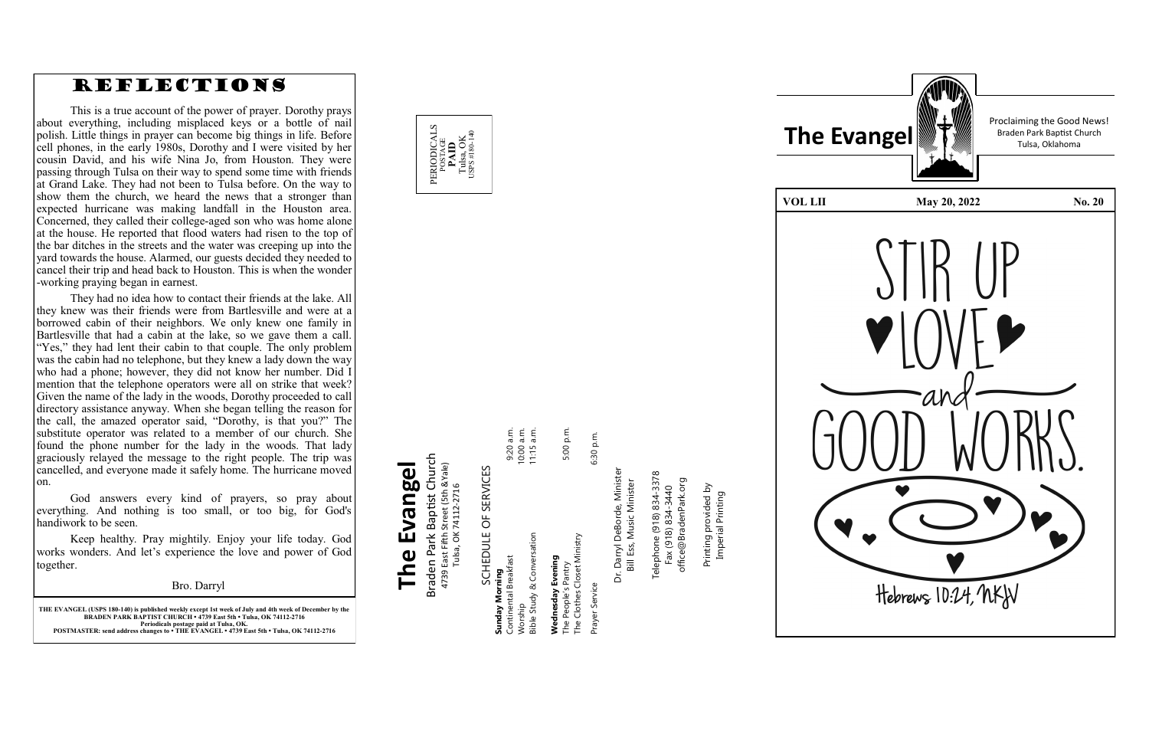

**THE EVANGEL (USPS 180 -140) is published weekly except 1st week of July and 4th week of December by the BRADEN PARK BAPTIST CHURCH • 4739 East 5th • Tulsa, OK 74112 -2716 Periodicals postage paid at Tulsa, OK. POSTMASTER: send address changes to • THE EVANGEL • 4739 East 5th • Tulsa, OK 74112 -2716**

# Prayer Service 6:30 p.m. Service

Prayer S

6:30 p.m.



#### Braden Park Baptist Church<br>4739 East Fifth Street (5th &Yale)<br>Tulsa, OK 74112-2716 Braden Park Baptist Church 4739 East Fifth Street (5th &Yale) FRVIC Tulsa, OK 74112-2716  $\overline{C}$  $\blacksquare$ **CCHEDITI**

Dr. Darryl DeBorde, Minister<br>Bill Ess, Music Minister Dr. Darryl DeBorde, Minister Bill Ess, Music Minister

**The Evangel**

The Evangel

Telephone (918) 834-3378<br>Fax (918) 834-3440 Telephone (918) 834-3378 office@BradenPark.org office@BradenPark.org Fax (918) 834-3440

| SCHEDULE OF SERVICES        |            |
|-----------------------------|------------|
| Sunday Morning              |            |
| Continental Breakfast       | 9:20 a.m.  |
| Worship                     | 10:00 a.m. |
| Bible Study & Conversation  | 11:15 a.m. |
|                             |            |
| Wednesday Evening           |            |
| The People's Pantry         | 5:00 p.m.  |
| The Clothes Closet Ministry |            |

Printing provided by Printing provided by<br>Imperial Printing Imperial Printing

Proclaiming the Good News!



### REFLECTIONS

This is a true account of the power of prayer. Dorothy prays about everything, including misplaced keys or a bottle of nail polish. Little things in prayer can become big things in life. Before cell phones, in the early 1980s, Dorothy and I were visited by her cousin David, and his wife Nina Jo, from Houston. They were passing through Tulsa on their way to spend some time with friends at Grand Lake. They had not been to Tulsa before. On the way to show them the church, we heard the news that a stronger than expected hurricane was making landfall in the Houston area. Concerned, they called their college -aged son who was home alone at the house. He reported that flood waters had risen to the top of the bar ditches in the streets and the water was creeping up into the yard towards the house. Alarmed, our guests decided they needed to cancel their trip and head back to Houston. This is when the wonder -working praying began in earnest.

God answers every kind of prayers, so pray about everything. And nothing is too small, or too big, for God's handiwork to be seen.

They had no idea how to contact their friends at the lake. All they knew was their friends were from Bartlesville and were at a borrowed cabin of their neighbors. We only knew one family in Bartlesville that had a cabin at the lake, so we gave them a call. "Yes," they had lent their cabin to that couple. The only problem was the cabin had no telephone, but they knew a lady down the way who had a phone; however, they did not know her number. Did I mention that the telephone operators were all on strike that week? Given the name of the lady in the woods, Dorothy proceeded to call directory assistance anyway. When she began telling the reason for the call, the amazed operator said, "Dorothy, is that you?" The substitute operator was related to a member of our church. She found the phone number for the lady in the woods. That lady graciously relayed the message to the right people. The trip was cancelled, and everyone made it safely home. The hurricane moved on.

Keep healthy. Pray mightily. Enjoy your life today. God works wonders. And let 's experience the love and power of God together.

Bro. Darryl